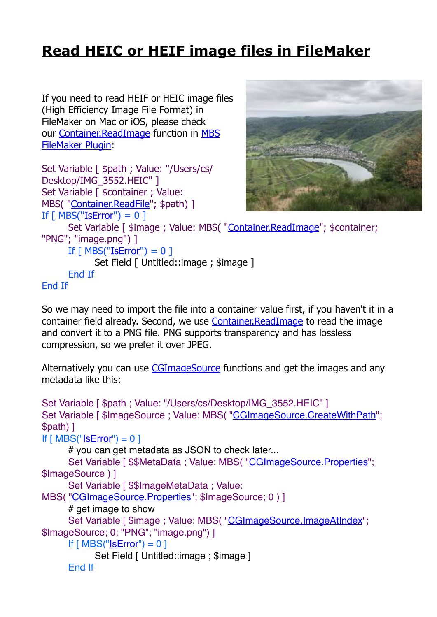## **[Read HEIC or HEIF image files in FileMaker](https://www.mbs-plugins.com/archive/2019-08-20/Read_HEIC_or_HEIF_image_files_/monkeybreadsoftware_blog_filemaker)**

If you need to read HEIF or HEIC image files (High Efficiency Image File Format) in FileMaker on Mac or iOS, please check our [Container.ReadImage](http://www.mbsplugins.eu/ContainerReadImage.shtml) function in [MBS](http://monkeybreadsoftware.com/filemaker/)  [FileMaker Plugin](http://monkeybreadsoftware.com/filemaker/):

Set Variable [ \$path ; Value: "/Users/cs/

Desktop/IMG\_3552.HEIC" ]

Set Variable [ \$container ; Value: MBS( ["Container.ReadFile"](http://www.mbsplugins.eu/ContainerReadFile.shtml); \$path) ]



If  $\lceil$  MBS(["IsError](http://www.mbsplugins.eu/IsError.shtml)") = 0 ] Set Variable [ \$image ; Value: MBS( "Container. ReadImage"; \$container; "PNG"; "image.png") ] If  $[MBS("IsError") = 0]$  $[MBS("IsError") = 0]$  $[MBS("IsError") = 0]$ 

Set Field [ Untitled::image ; \$image ]

End If

## End If

So we may need to import the file into a container value first, if you haven't it in a container field already. Second, we use [Container.ReadImage](http://www.mbsplugins.eu/ContainerReadImage.shtml) to read the image and convert it to a PNG file. PNG supports transparency and has lossless compression, so we prefer it over JPEG.

Alternatively you can use [CGImageSource](http://www.mbsplugins.eu/component_CGImageSource.shtml) functions and get the images and any metadata like this:

```
Set Variable [ $path ; Value: "/Users/cs/Desktop/IMG_3552.HEIC" ]
"CGImageSource.CreateWithPath";
$path) ]
If "IsError") = 0]# you can get metadata as JSON to check later...
    Set Variable [ $MetaData"CGImageSource.Properties";
$ImageSource ) ]
    Set Variable [ $$ImageMetaData ; Value:
MBS( "CGImageSource.Properties"; $ImageSource; 0 ) ]
    # get image to show
    "CGImageSource.ImageAtIndex";
$ImageSource; 0; "PNG"; "image.png") ]
    If ["IsError") = 0 ]Set Field [ Untitled::image ; $image ]
    End If
```